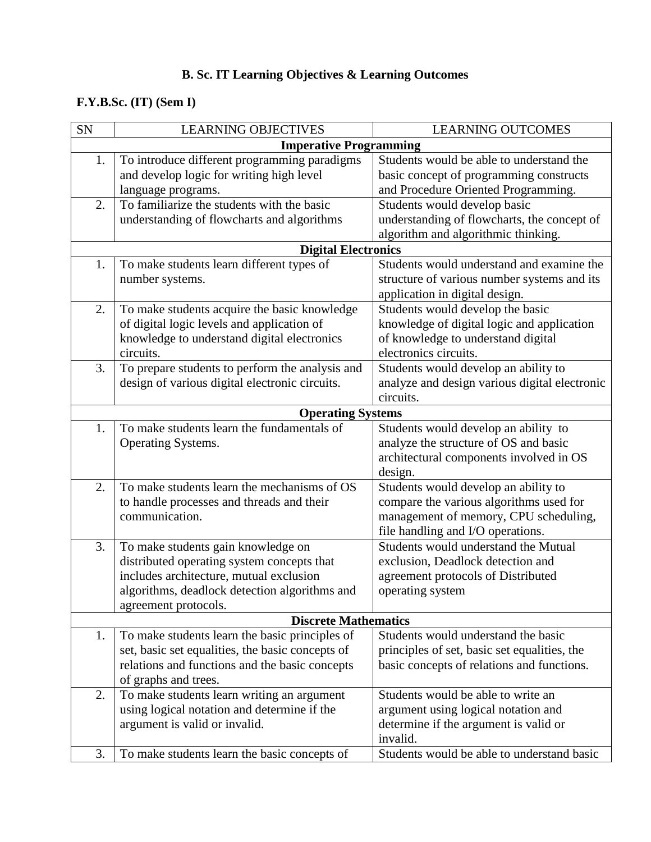## **B. Sc. IT Learning Objectives & Learning Outcomes**

## **F.Y.B.Sc. (IT) (Sem I)**

| <b>SN</b>                     | <b>LEARNING OBJECTIVES</b>                       | <b>LEARNING OUTCOMES</b>                      |  |  |  |
|-------------------------------|--------------------------------------------------|-----------------------------------------------|--|--|--|
| <b>Imperative Programming</b> |                                                  |                                               |  |  |  |
| 1.                            | To introduce different programming paradigms     | Students would be able to understand the      |  |  |  |
|                               | and develop logic for writing high level         | basic concept of programming constructs       |  |  |  |
|                               | language programs.                               | and Procedure Oriented Programming.           |  |  |  |
| 2.                            | To familiarize the students with the basic       | Students would develop basic                  |  |  |  |
|                               | understanding of flowcharts and algorithms       | understanding of flowcharts, the concept of   |  |  |  |
|                               |                                                  | algorithm and algorithmic thinking.           |  |  |  |
|                               | <b>Digital Electronics</b>                       |                                               |  |  |  |
| 1.                            | To make students learn different types of        | Students would understand and examine the     |  |  |  |
|                               | number systems.                                  | structure of various number systems and its   |  |  |  |
|                               |                                                  | application in digital design.                |  |  |  |
| 2.                            | To make students acquire the basic knowledge     | Students would develop the basic              |  |  |  |
|                               | of digital logic levels and application of       | knowledge of digital logic and application    |  |  |  |
|                               | knowledge to understand digital electronics      | of knowledge to understand digital            |  |  |  |
|                               | circuits.                                        | electronics circuits.                         |  |  |  |
| 3.                            | To prepare students to perform the analysis and  | Students would develop an ability to          |  |  |  |
|                               | design of various digital electronic circuits.   | analyze and design various digital electronic |  |  |  |
|                               |                                                  | circuits.                                     |  |  |  |
|                               | <b>Operating Systems</b>                         |                                               |  |  |  |
| 1.                            | To make students learn the fundamentals of       | Students would develop an ability to          |  |  |  |
|                               | Operating Systems.                               | analyze the structure of OS and basic         |  |  |  |
|                               |                                                  | architectural components involved in OS       |  |  |  |
|                               |                                                  | design.                                       |  |  |  |
| 2.                            | To make students learn the mechanisms of OS      | Students would develop an ability to          |  |  |  |
|                               | to handle processes and threads and their        | compare the various algorithms used for       |  |  |  |
|                               | communication.                                   | management of memory, CPU scheduling,         |  |  |  |
|                               |                                                  | file handling and I/O operations.             |  |  |  |
| 3.                            | To make students gain knowledge on               | Students would understand the Mutual          |  |  |  |
|                               | distributed operating system concepts that       | exclusion, Deadlock detection and             |  |  |  |
|                               | includes architecture, mutual exclusion          | agreement protocols of Distributed            |  |  |  |
|                               | algorithms, deadlock detection algorithms and    | operating system                              |  |  |  |
|                               | agreement protocols.                             |                                               |  |  |  |
|                               | <b>Discrete Mathematics</b>                      |                                               |  |  |  |
| 1.                            | To make students learn the basic principles of   | Students would understand the basic           |  |  |  |
|                               | set, basic set equalities, the basic concepts of | principles of set, basic set equalities, the  |  |  |  |
|                               | relations and functions and the basic concepts   | basic concepts of relations and functions.    |  |  |  |
|                               | of graphs and trees.                             |                                               |  |  |  |
| 2.                            | To make students learn writing an argument       | Students would be able to write an            |  |  |  |
|                               | using logical notation and determine if the      | argument using logical notation and           |  |  |  |
|                               | argument is valid or invalid.                    | determine if the argument is valid or         |  |  |  |
|                               |                                                  | invalid.                                      |  |  |  |
| 3.                            | To make students learn the basic concepts of     | Students would be able to understand basic    |  |  |  |
|                               |                                                  |                                               |  |  |  |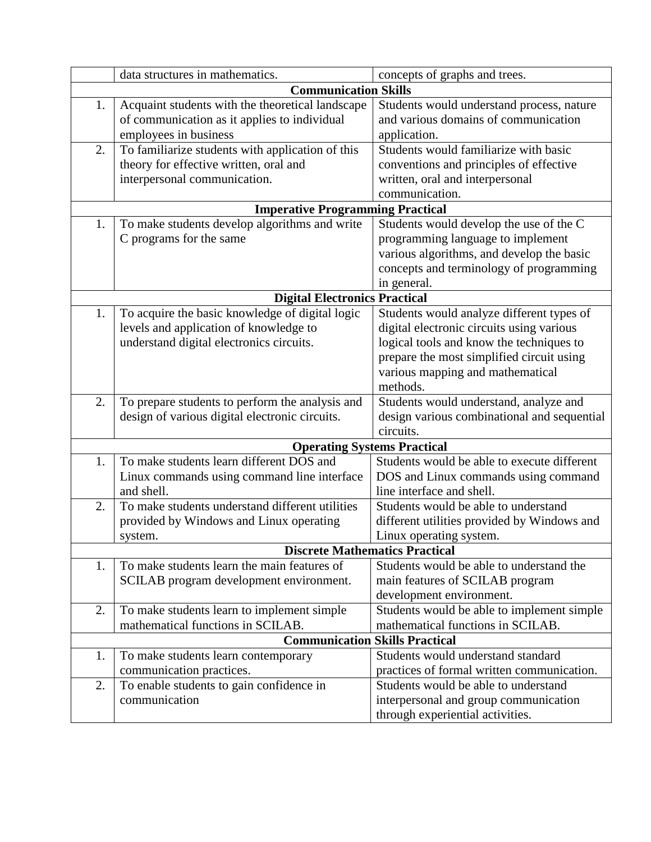|                                       | data structures in mathematics.                                                | concepts of graphs and trees.               |  |  |  |
|---------------------------------------|--------------------------------------------------------------------------------|---------------------------------------------|--|--|--|
|                                       | <b>Communication Skills</b>                                                    |                                             |  |  |  |
| 1.                                    | Acquaint students with the theoretical landscape                               | Students would understand process, nature   |  |  |  |
|                                       | of communication as it applies to individual                                   | and various domains of communication        |  |  |  |
|                                       | employees in business                                                          | application.                                |  |  |  |
| 2.                                    | To familiarize students with application of this                               | Students would familiarize with basic       |  |  |  |
|                                       | theory for effective written, oral and                                         | conventions and principles of effective     |  |  |  |
|                                       | interpersonal communication.                                                   | written, oral and interpersonal             |  |  |  |
|                                       |                                                                                | communication.                              |  |  |  |
|                                       | <b>Imperative Programming Practical</b>                                        |                                             |  |  |  |
| 1.                                    | To make students develop algorithms and write                                  | Students would develop the use of the C     |  |  |  |
|                                       | C programs for the same                                                        | programming language to implement           |  |  |  |
|                                       |                                                                                | various algorithms, and develop the basic   |  |  |  |
|                                       |                                                                                | concepts and terminology of programming     |  |  |  |
|                                       |                                                                                | in general.                                 |  |  |  |
| <b>Digital Electronics Practical</b>  |                                                                                |                                             |  |  |  |
| 1.                                    | To acquire the basic knowledge of digital logic                                | Students would analyze different types of   |  |  |  |
|                                       | levels and application of knowledge to                                         | digital electronic circuits using various   |  |  |  |
|                                       | understand digital electronics circuits.                                       | logical tools and know the techniques to    |  |  |  |
|                                       |                                                                                | prepare the most simplified circuit using   |  |  |  |
|                                       |                                                                                | various mapping and mathematical            |  |  |  |
|                                       |                                                                                | methods.                                    |  |  |  |
| 2.                                    | To prepare students to perform the analysis and                                | Students would understand, analyze and      |  |  |  |
|                                       | design of various digital electronic circuits.                                 | design various combinational and sequential |  |  |  |
|                                       |                                                                                | circuits.                                   |  |  |  |
| 1.                                    | <b>Operating Systems Practical</b><br>To make students learn different DOS and | Students would be able to execute different |  |  |  |
|                                       | Linux commands using command line interface                                    | DOS and Linux commands using command        |  |  |  |
|                                       | and shell.                                                                     | line interface and shell.                   |  |  |  |
| 2.                                    | To make students understand different utilities                                | Students would be able to understand        |  |  |  |
|                                       | provided by Windows and Linux operating                                        | different utilities provided by Windows and |  |  |  |
|                                       | system.                                                                        | Linux operating system.                     |  |  |  |
|                                       | <b>Discrete Mathematics Practical</b>                                          |                                             |  |  |  |
| 1.                                    | To make students learn the main features of                                    | Students would be able to understand the    |  |  |  |
|                                       | SCILAB program development environment.                                        | main features of SCILAB program             |  |  |  |
|                                       |                                                                                | development environment.                    |  |  |  |
| 2.                                    | To make students learn to implement simple                                     | Students would be able to implement simple  |  |  |  |
|                                       | mathematical functions in SCILAB.                                              | mathematical functions in SCILAB.           |  |  |  |
| <b>Communication Skills Practical</b> |                                                                                |                                             |  |  |  |
| 1.                                    | To make students learn contemporary                                            | Students would understand standard          |  |  |  |
|                                       | communication practices.                                                       | practices of formal written communication.  |  |  |  |
| 2.                                    | To enable students to gain confidence in                                       | Students would be able to understand        |  |  |  |
|                                       | communication                                                                  | interpersonal and group communication       |  |  |  |
|                                       |                                                                                | through experiential activities.            |  |  |  |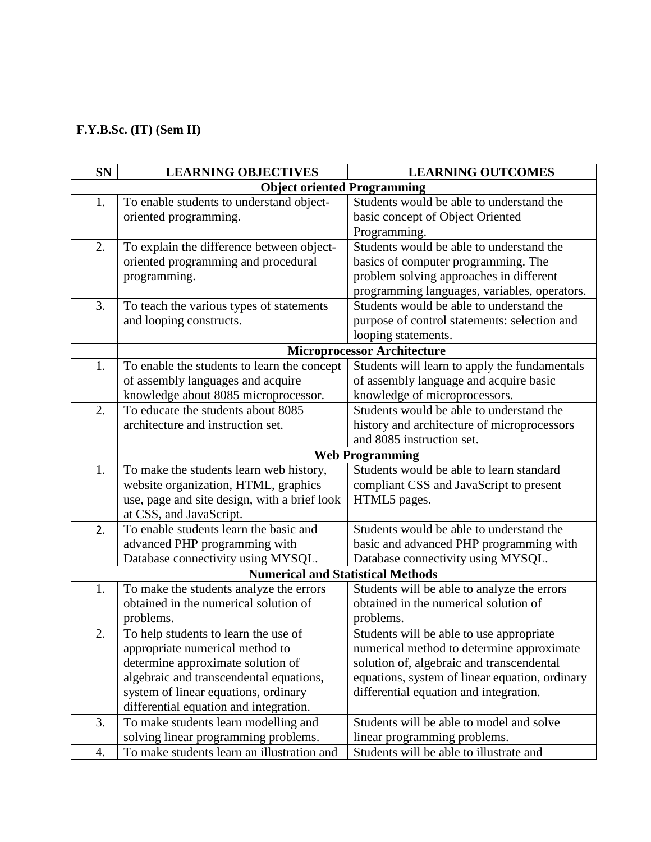## **F.Y.B.Sc. (IT) (Sem II)**

| <b>SN</b>                                | <b>LEARNING OBJECTIVES</b>                   | <b>LEARNING OUTCOMES</b>                       |  |  |  |
|------------------------------------------|----------------------------------------------|------------------------------------------------|--|--|--|
|                                          | <b>Object oriented Programming</b>           |                                                |  |  |  |
| 1.                                       | To enable students to understand object-     | Students would be able to understand the       |  |  |  |
|                                          | oriented programming.                        | basic concept of Object Oriented               |  |  |  |
|                                          |                                              | Programming.                                   |  |  |  |
| 2.                                       | To explain the difference between object-    | Students would be able to understand the       |  |  |  |
|                                          | oriented programming and procedural          | basics of computer programming. The            |  |  |  |
|                                          | programming.                                 | problem solving approaches in different        |  |  |  |
|                                          |                                              | programming languages, variables, operators.   |  |  |  |
| 3.                                       | To teach the various types of statements     | Students would be able to understand the       |  |  |  |
|                                          | and looping constructs.                      | purpose of control statements: selection and   |  |  |  |
|                                          |                                              | looping statements.                            |  |  |  |
|                                          | <b>Microprocessor Architecture</b>           |                                                |  |  |  |
| 1.                                       | To enable the students to learn the concept  | Students will learn to apply the fundamentals  |  |  |  |
|                                          | of assembly languages and acquire            | of assembly language and acquire basic         |  |  |  |
|                                          | knowledge about 8085 microprocessor.         | knowledge of microprocessors.                  |  |  |  |
| 2.                                       | To educate the students about 8085           | Students would be able to understand the       |  |  |  |
|                                          | architecture and instruction set.            | history and architecture of microprocessors    |  |  |  |
|                                          |                                              | and 8085 instruction set.                      |  |  |  |
|                                          |                                              | <b>Web Programming</b>                         |  |  |  |
| 1.                                       | To make the students learn web history,      | Students would be able to learn standard       |  |  |  |
|                                          | website organization, HTML, graphics         | compliant CSS and JavaScript to present        |  |  |  |
|                                          | use, page and site design, with a brief look | HTML5 pages.                                   |  |  |  |
|                                          | at CSS, and JavaScript.                      |                                                |  |  |  |
| 2.                                       | To enable students learn the basic and       | Students would be able to understand the       |  |  |  |
|                                          | advanced PHP programming with                | basic and advanced PHP programming with        |  |  |  |
|                                          | Database connectivity using MYSQL.           | Database connectivity using MYSQL.             |  |  |  |
| <b>Numerical and Statistical Methods</b> |                                              |                                                |  |  |  |
| 1.                                       | To make the students analyze the errors      | Students will be able to analyze the errors    |  |  |  |
|                                          | obtained in the numerical solution of        | obtained in the numerical solution of          |  |  |  |
|                                          | problems.                                    | problems.                                      |  |  |  |
| 2.                                       | To help students to learn the use of         | Students will be able to use appropriate       |  |  |  |
|                                          | appropriate numerical method to              | numerical method to determine approximate      |  |  |  |
|                                          | determine approximate solution of            | solution of, algebraic and transcendental      |  |  |  |
|                                          | algebraic and transcendental equations,      | equations, system of linear equation, ordinary |  |  |  |
|                                          | system of linear equations, ordinary         | differential equation and integration.         |  |  |  |
|                                          | differential equation and integration.       |                                                |  |  |  |
| 3.                                       | To make students learn modelling and         | Students will be able to model and solve       |  |  |  |
|                                          | solving linear programming problems.         | linear programming problems.                   |  |  |  |
| 4.                                       | To make students learn an illustration and   | Students will be able to illustrate and        |  |  |  |